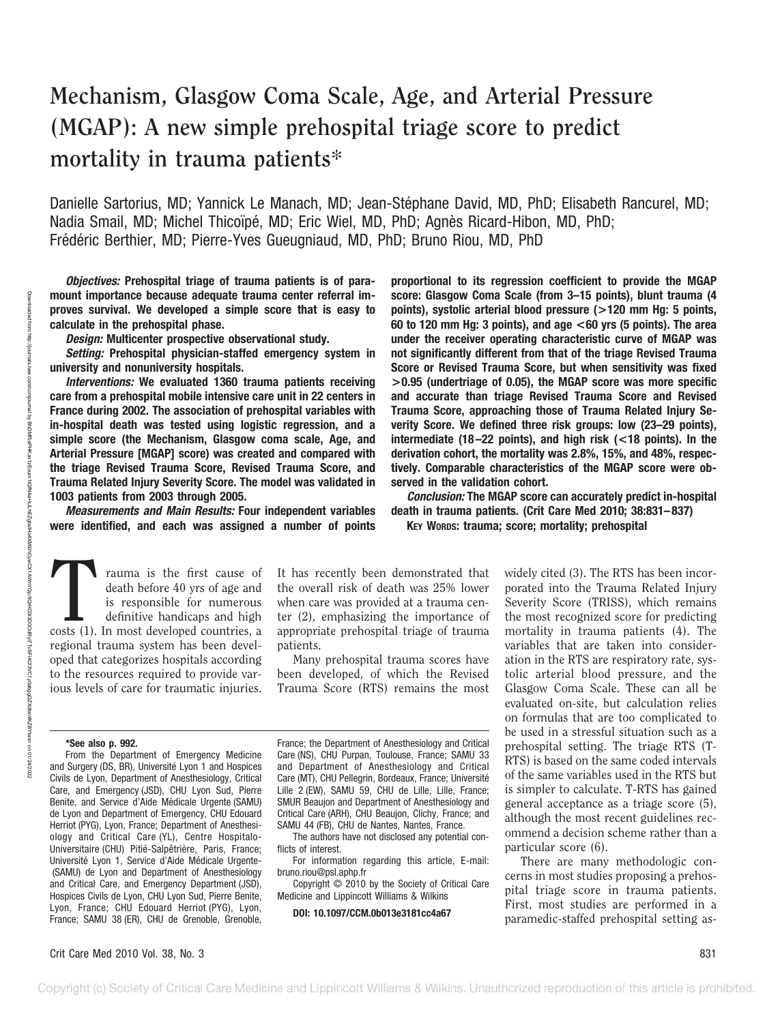# **Mechanism, Glasgow Coma Scale, Age, and Arterial Pressure (MGAP): A new simple prehospital triage score to predict mortality in trauma patients\***

Danielle Sartorius, MD; Yannick Le Manach, MD; Jean-Stéphane David, MD, PhD; Elisabeth Rancurel, MD; Nadia Smail, MD; Michel Thicoïpé, MD; Eric Wiel, MD, PhD; Agnès Ricard-Hibon, MD, PhD; Frédéric Berthier, MD; Pierre-Yves Gueugniaud, MD, PhD; Bruno Riou, MD, PhD

*Objectives:* **Prehospital triage of trauma patients is of paramount importance because adequate trauma center referral improves survival. We developed a simple score that is easy to calculate in the prehospital phase.**

*Design:* **Multicenter prospective observational study.**

*Setting:* **Prehospital physician-staffed emergency system in university and nonuniversity hospitals.**

*Interventions:* **We evaluated 1360 trauma patients receiving care from a prehospital mobile intensive care unit in 22 centers in France during 2002. The association of prehospital variables with in-hospital death was tested using logistic regression, and a simple score (the Mechanism, Glasgow coma scale, Age, and Arterial Pressure [MGAP] score) was created and compared with the triage Revised Trauma Score, Revised Trauma Score, and Trauma Related Injury Severity Score. The model was validated in 1003 patients from 2003 through 2005.**

*Measurements and Main Results:* **Four independent variables were identified, and each was assigned a number of points**

Trauma is the first cause of<br>death before 40 yrs of age and<br>is responsible for numerous<br>definitive handicaps and high<br>costs (1). In most developed countries, a death before 40 yrs of age and is responsible for numerous definitive handicaps and high regional trauma system has been developed that categorizes hospitals according to the resources required to provide various levels of care for traumatic injuries.

It has recently been demonstrated that the overall risk of death was 25% lower when care was provided at a trauma center (2), emphasizing the importance of appropriate prehospital triage of trauma patients.

Many prehospital trauma scores have been developed, of which the Revised Trauma Score (RTS) remains the most

#### **\*See also p. 992.**

From the Department of Emergency Medicine and Surgery (DS, BR), Université Lyon 1 and Hospices Civils de Lyon, Department of Anesthesiology, Critical Care, and Emergency (JSD), CHU Lyon Sud, Pierre Benite, and Service d'Aide Médicale Urgente (SAMU) de Lyon and Department of Emergency, CHU Edouard Herriot (PYG), Lyon, France; Department of Anesthesiology and Critical Care (YL), Centre Hospitalo-Universitaire (CHU) Pitié-Salpêtrière, Paris, France; Université Lyon 1, Service d'Aide Médicale Urgente-(SAMU) de Lyon and Department of Anesthesiology and Critical Care, and Emergency Department (JSD), Hospices Civils de Lyon, CHU Lyon Sud, Pierre Benite, Lyon, France; CHU Edouard Herriot (PYG), Lyon, France; SAMU 38 (ER), CHU de Grenoble, Grenoble,

France; the Department of Anesthesiology and Critical Care (NS), CHU Purpan, Toulouse, France; SAMU 33 and Department of Anesthesiology and Critical Care (MT), CHU Pellegrin, Bordeaux, France; Université Lille 2 (EW), SAMU 59, CHU de Lille, Lille, France; SMUR Beaujon and Department of Anesthesiology and Critical Care (ARH), CHU Beaujon, Clichy, France; and SAMU 44 (FB), CHU de Nantes, Nantes, France.

The authors have not disclosed any potential conflicts of interest.

For information regarding this article, E-mail: bruno.riou@psl.aphp.fr

Copyright © 2010 by the Society of Critical Care Medicine and Lippincott Williams & Wilkins

**DOI: 10.1097/CCM.0b013e3181cc4a67**

widely cited (3). The RTS has been incorporated into the Trauma Related Injury Severity Score (TRISS), which remains the most recognized score for predicting mortality in trauma patients (4). The variables that are taken into consideration in the RTS are respiratory rate, systolic arterial blood pressure, and the Glasgow Coma Scale. These can all be evaluated on-site, but calculation relies on formulas that are too complicated to be used in a stressful situation such as a prehospital setting. The triage RTS (T-RTS) is based on the same coded intervals of the same variables used in the RTS but is simpler to calculate. T-RTS has gained general acceptance as a triage score (5), although the most recent guidelines recommend a decision scheme rather than a particular score (6).

There are many methodologic concerns in most studies proposing a prehospital triage score in trauma patients. First, most studies are performed in a paramedic-staffed prehospital setting as-

**served in the validation cohort.** *Conclusion:* **The MGAP score can accurately predict in-hospital**

**death in trauma patients. (Crit Care Med 2010; 38:831–837) KEY WORDS: trauma; score; mortality; prehospital**

**proportional to its regression coefficient to provide the MGAP score: Glasgow Coma Scale (from 3–15 points), blunt trauma (4 points), systolic arterial blood pressure (>120 mm Hg: 5 points, 60 to 120 mm Hg: 3 points), and age <60 yrs (5 points). The area under the receiver operating characteristic curve of MGAP was not significantly different from that of the triage Revised Trauma Score or Revised Trauma Score, but when sensitivity was fixed >0.95 (undertriage of 0.05), the MGAP score was more specific and accurate than triage Revised Trauma Score and Revised Trauma Score, approaching those of Trauma Related Injury Severity Score. We defined three risk groups: low (23–29 points), intermediate (18 –22 points), and high risk (<18 points). In the derivation cohort, the mortality was 2.8%, 15%, and 48%, respectively. Comparable characteristics of the MGAP score were ob-**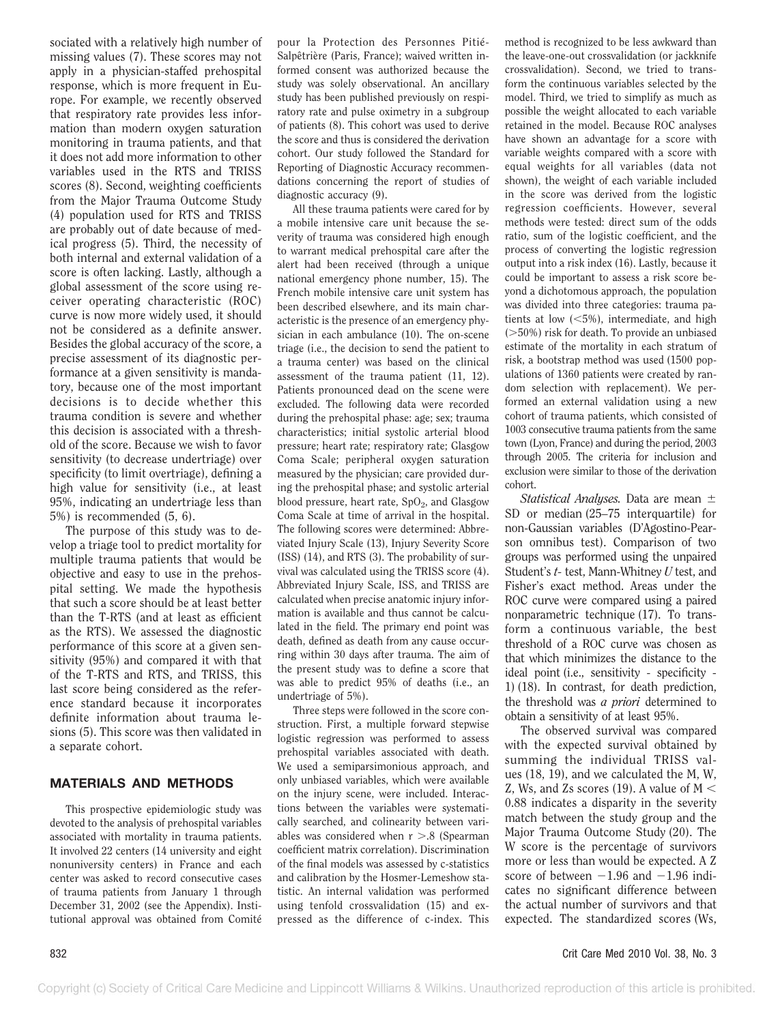sociated with a relatively high number of missing values (7). These scores may not apply in a physician-staffed prehospital response, which is more frequent in Europe. For example, we recently observed that respiratory rate provides less information than modern oxygen saturation monitoring in trauma patients, and that it does not add more information to other variables used in the RTS and TRISS scores (8). Second, weighting coefficients from the Major Trauma Outcome Study (4) population used for RTS and TRISS are probably out of date because of medical progress (5). Third, the necessity of both internal and external validation of a score is often lacking. Lastly, although a global assessment of the score using receiver operating characteristic (ROC) curve is now more widely used, it should not be considered as a definite answer. Besides the global accuracy of the score, a precise assessment of its diagnostic performance at a given sensitivity is mandatory, because one of the most important decisions is to decide whether this trauma condition is severe and whether this decision is associated with a threshold of the score. Because we wish to favor sensitivity (to decrease undertriage) over specificity (to limit overtriage), defining a high value for sensitivity (i.e., at least 95%, indicating an undertriage less than 5%) is recommended (5, 6).

The purpose of this study was to develop a triage tool to predict mortality for multiple trauma patients that would be objective and easy to use in the prehospital setting. We made the hypothesis that such a score should be at least better than the T-RTS (and at least as efficient as the RTS). We assessed the diagnostic performance of this score at a given sensitivity (95%) and compared it with that of the T-RTS and RTS, and TRISS, this last score being considered as the reference standard because it incorporates definite information about trauma lesions (5). This score was then validated in a separate cohort.

## **MATERIALS AND METHODS**

This prospective epidemiologic study was devoted to the analysis of prehospital variables associated with mortality in trauma patients. It involved 22 centers (14 university and eight nonuniversity centers) in France and each center was asked to record consecutive cases of trauma patients from January 1 through December 31, 2002 (see the Appendix). Institutional approval was obtained from Comite´ pour la Protection des Personnes Pitié-Salpêtrière (Paris, France); waived written informed consent was authorized because the study was solely observational. An ancillary study has been published previously on respiratory rate and pulse oximetry in a subgroup of patients (8). This cohort was used to derive the score and thus is considered the derivation cohort. Our study followed the Standard for Reporting of Diagnostic Accuracy recommendations concerning the report of studies of diagnostic accuracy (9).

All these trauma patients were cared for by a mobile intensive care unit because the severity of trauma was considered high enough to warrant medical prehospital care after the alert had been received (through a unique national emergency phone number, 15). The French mobile intensive care unit system has been described elsewhere, and its main characteristic is the presence of an emergency physician in each ambulance (10). The on-scene triage (i.e., the decision to send the patient to a trauma center) was based on the clinical assessment of the trauma patient (11, 12). Patients pronounced dead on the scene were excluded. The following data were recorded during the prehospital phase: age; sex; trauma characteristics; initial systolic arterial blood pressure; heart rate; respiratory rate; Glasgow Coma Scale; peripheral oxygen saturation measured by the physician; care provided during the prehospital phase; and systolic arterial blood pressure, heart rate,  $SpO<sub>2</sub>$ , and Glasgow Coma Scale at time of arrival in the hospital. The following scores were determined: Abbreviated Injury Scale (13), Injury Severity Score (ISS) (14), and RTS (3). The probability of survival was calculated using the TRISS score (4). Abbreviated Injury Scale, ISS, and TRISS are calculated when precise anatomic injury information is available and thus cannot be calculated in the field. The primary end point was death, defined as death from any cause occurring within 30 days after trauma. The aim of the present study was to define a score that was able to predict 95% of deaths (i.e., an undertriage of 5%).

Three steps were followed in the score construction. First, a multiple forward stepwise logistic regression was performed to assess prehospital variables associated with death. We used a semiparsimonious approach, and only unbiased variables, which were available on the injury scene, were included. Interactions between the variables were systematically searched, and colinearity between variables was considered when  $r > 0.8$  (Spearman coefficient matrix correlation). Discrimination of the final models was assessed by c-statistics and calibration by the Hosmer-Lemeshow statistic. An internal validation was performed using tenfold crossvalidation (15) and expressed as the difference of c-index. This method is recognized to be less awkward than the leave-one-out crossvalidation (or jackknife crossvalidation). Second, we tried to transform the continuous variables selected by the model. Third, we tried to simplify as much as possible the weight allocated to each variable retained in the model. Because ROC analyses have shown an advantage for a score with variable weights compared with a score with equal weights for all variables (data not shown), the weight of each variable included in the score was derived from the logistic regression coefficients. However, several methods were tested: direct sum of the odds ratio, sum of the logistic coefficient, and the process of converting the logistic regression output into a risk index (16). Lastly, because it could be important to assess a risk score beyond a dichotomous approach, the population was divided into three categories: trauma patients at low  $(<5\%)$ , intermediate, and high ( $>50\%$ ) risk for death. To provide an unbiased estimate of the mortality in each stratum of risk, a bootstrap method was used (1500 populations of 1360 patients were created by random selection with replacement). We performed an external validation using a new cohort of trauma patients, which consisted of 1003 consecutive trauma patients from the same town (Lyon, France) and during the period, 2003 through 2005. The criteria for inclusion and exclusion were similar to those of the derivation cohort.

*Statistical Analyses.* Data are mean SD or median (25–75 interquartile) for non-Gaussian variables (D'Agostino-Pearson omnibus test). Comparison of two groups was performed using the unpaired Student's *t-* test, Mann-Whitney *U* test, and Fisher's exact method. Areas under the ROC curve were compared using a paired nonparametric technique (17). To transform a continuous variable, the best threshold of a ROC curve was chosen as that which minimizes the distance to the ideal point (i.e., sensitivity - specificity - 1) (18). In contrast, for death prediction, the threshold was *a priori* determined to obtain a sensitivity of at least 95%.

The observed survival was compared with the expected survival obtained by summing the individual TRISS values (18, 19), and we calculated the M, W, Z, Ws, and Zs scores (19). A value of M  $<$ 0.88 indicates a disparity in the severity match between the study group and the Major Trauma Outcome Study (20). The W score is the percentage of survivors more or less than would be expected. A Z score of between  $-1.96$  and  $-1.96$  indicates no significant difference between the actual number of survivors and that expected. The standardized scores (Ws,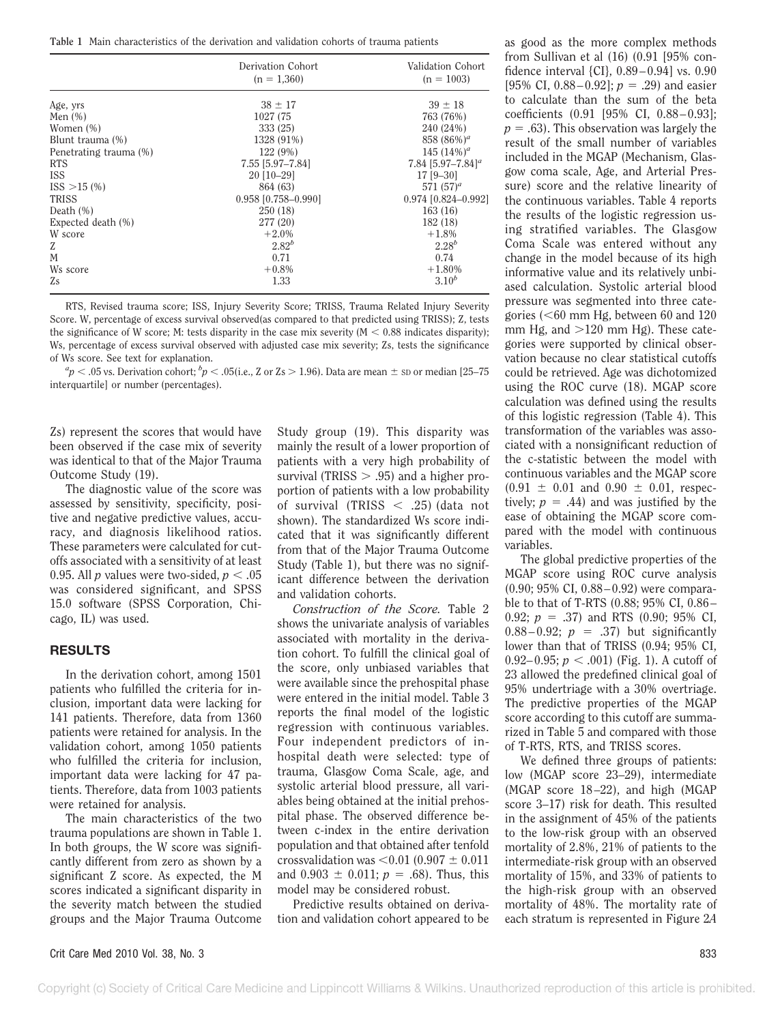**Table 1** Main characteristics of the derivation and validation cohorts of trauma patients

|                        | Derivation Cohort<br>$(n = 1.360)$ | Validation Cohort<br>$(n = 1003)$ |  |
|------------------------|------------------------------------|-----------------------------------|--|
| Age, yrs               | $38 \pm 17$                        | $39 \pm 18$                       |  |
| Men $(%)$              | 1027 (75                           | 763 (76%)                         |  |
| Women (%)              | 333 (25)                           | 240 (24%)                         |  |
| Blunt trauma (%)       | 1328 (91%)                         | 858 $(86\%)^a$                    |  |
| Penetrating trauma (%) | 122 (9%)                           | 145 $(14\%)^a$                    |  |
| <b>RTS</b>             | 7.55 [5.97-7.84]                   | $7.84$ [5.97-7.84] <sup>a</sup>   |  |
| ISS.                   | 20 [10-29]                         | $17[9-30]$                        |  |
| ISS > 15(%)            | 864 (63)                           | 571 $(57)^a$                      |  |
| <b>TRISS</b>           | $0.958$ [0.758-0.990]              | $0.974$ [0.824-0.992]             |  |
| Death $(\% )$          | 250(18)                            | 163(16)                           |  |
| Expected death (%)     | 277 (20)                           | 182 (18)                          |  |
| W score                | $+2.0%$                            | $+1.8%$                           |  |
| Z                      | $2.82^{b}$                         | $2.28^{b}$                        |  |
| M                      | 0.71                               | 0.74                              |  |
| Ws score               | $+0.8\%$                           | $+1.80\%$                         |  |
| Zs                     | 1.33                               | $3.10^{b}$                        |  |

RTS, Revised trauma score; ISS, Injury Severity Score; TRISS, Trauma Related Injury Severity Score. W, percentage of excess survival observed(as compared to that predicted using TRISS); Z, tests the significance of W score; M: tests disparity in the case mix severity  $(M < 0.88$  indicates disparity); Ws, percentage of excess survival observed with adjusted case mix severity; Zs, tests the significance of Ws score. See text for explanation.

 $a_p$  < .05 vs. Derivation cohort;  $b_p$  < .05(i.e., Z or Zs > 1.96). Data are mean  $\pm$  sD or median [25–75] interquartile] or number (percentages).

Zs) represent the scores that would have been observed if the case mix of severity was identical to that of the Major Trauma Outcome Study (19).

The diagnostic value of the score was assessed by sensitivity, specificity, positive and negative predictive values, accuracy, and diagnosis likelihood ratios. These parameters were calculated for cutoffs associated with a sensitivity of at least 0.95. All  $p$  values were two-sided,  $p < .05$ was considered significant, and SPSS 15.0 software (SPSS Corporation, Chicago, IL) was used.

#### **RESULTS**

In the derivation cohort, among 1501 patients who fulfilled the criteria for inclusion, important data were lacking for 141 patients. Therefore, data from 1360 patients were retained for analysis. In the validation cohort, among 1050 patients who fulfilled the criteria for inclusion, important data were lacking for 47 patients. Therefore, data from 1003 patients were retained for analysis.

The main characteristics of the two trauma populations are shown in Table 1. In both groups, the W score was significantly different from zero as shown by a significant Z score. As expected, the M scores indicated a significant disparity in the severity match between the studied groups and the Major Trauma Outcome

Study group (19). This disparity was mainly the result of a lower proportion of patients with a very high probability of survival (TRISS  $> .95$ ) and a higher proportion of patients with a low probability of survival (TRISS  $\langle .25 \rangle$  (data not shown). The standardized Ws score indicated that it was significantly different from that of the Major Trauma Outcome Study (Table 1), but there was no significant difference between the derivation and validation cohorts.

*Construction of the Score.* Table 2 shows the univariate analysis of variables associated with mortality in the derivation cohort. To fulfill the clinical goal of the score, only unbiased variables that were available since the prehospital phase were entered in the initial model. Table 3 reports the final model of the logistic regression with continuous variables. Four independent predictors of inhospital death were selected: type of trauma, Glasgow Coma Scale, age, and systolic arterial blood pressure, all variables being obtained at the initial prehospital phase. The observed difference between c-index in the entire derivation population and that obtained after tenfold crossvalidation was  $< 0.01$  (0.907  $\pm$  0.011 and  $0.903 \pm 0.011$ ;  $p = .68$ ). Thus, this model may be considered robust.

Predictive results obtained on derivation and validation cohort appeared to be

as good as the more complex methods from Sullivan et al (16) (0.91 [95% confidence interval {CI}, 0.89 – 0.94] vs. 0.90 [95% CI,  $0.88 - 0.92$ ];  $p = .29$  and easier to calculate than the sum of the beta coefficients (0.91 [95% CI, 0.88-0.93];  $p = .63$ ). This observation was largely the result of the small number of variables included in the MGAP (Mechanism, Glasgow coma scale, Age, and Arterial Pressure) score and the relative linearity of the continuous variables. Table 4 reports the results of the logistic regression using stratified variables. The Glasgow Coma Scale was entered without any change in the model because of its high informative value and its relatively unbiased calculation. Systolic arterial blood pressure was segmented into three categories (-60 mm Hg, between 60 and 120 mm Hg, and  $>120$  mm Hg). These categories were supported by clinical observation because no clear statistical cutoffs could be retrieved. Age was dichotomized using the ROC curve (18). MGAP score calculation was defined using the results of this logistic regression (Table 4). This transformation of the variables was associated with a nonsignificant reduction of the c-statistic between the model with continuous variables and the MGAP score  $(0.91 \pm 0.01$  and  $0.90 \pm 0.01$ , respectively;  $p = .44$ ) and was justified by the ease of obtaining the MGAP score compared with the model with continuous variables.

The global predictive properties of the MGAP score using ROC curve analysis (0.90; 95% CI, 0.88 – 0.92) were comparable to that of T-RTS (0.88; 95% CI, 0.86 – 0.92;  $p = .37$ ) and RTS (0.90; 95% CI, 0.88 – 0.92;  $p = .37$ ) but significantly lower than that of TRISS (0.94; 95% CI,  $0.92-0.95; p < .001$ ) (Fig. 1). A cutoff of 23 allowed the predefined clinical goal of 95% undertriage with a 30% overtriage. The predictive properties of the MGAP score according to this cutoff are summarized in Table 5 and compared with those of T-RTS, RTS, and TRISS scores.

We defined three groups of patients: low (MGAP score 23–29), intermediate (MGAP score  $18-22$ ), and high (MGAP score 3–17) risk for death. This resulted in the assignment of 45% of the patients to the low-risk group with an observed mortality of 2.8%, 21% of patients to the intermediate-risk group with an observed mortality of 15%, and 33% of patients to the high-risk group with an observed mortality of 48%. The mortality rate of each stratum is represented in Figure 2*A*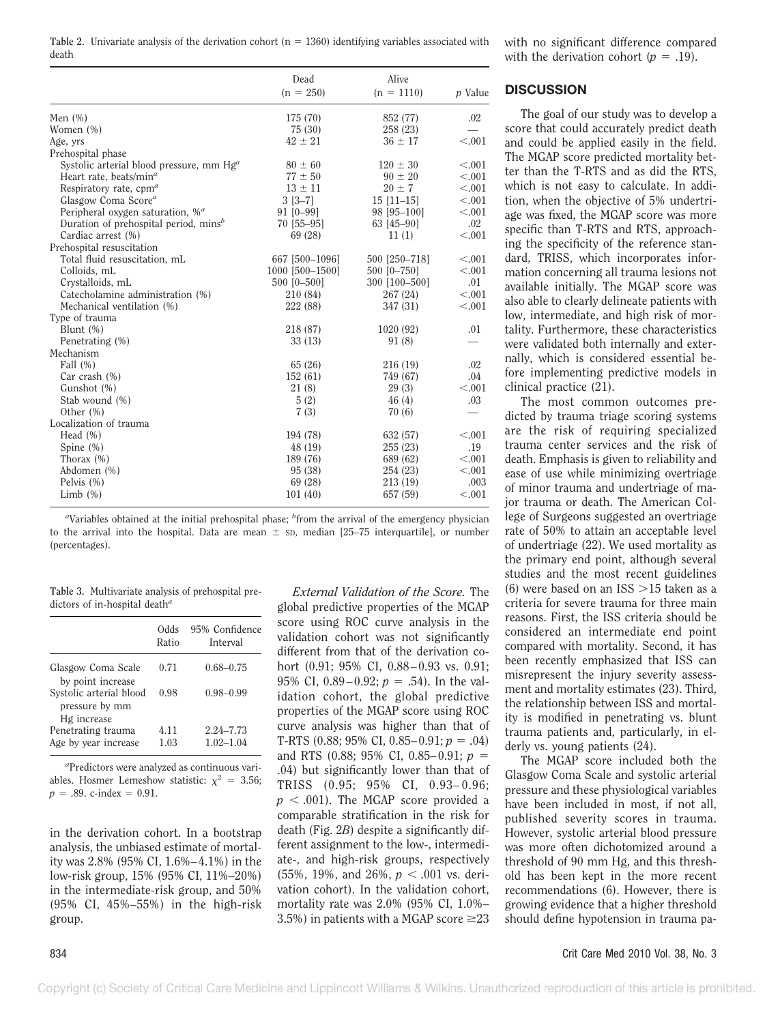**Table 2.** Univariate analysis of the derivation cohort  $(n = 1360)$  identifying variables associated with death

|                                                        | Dead<br>$(n = 250)$ | Alive<br>$(n = 1110)$ | <i>p</i> Value |
|--------------------------------------------------------|---------------------|-----------------------|----------------|
|                                                        |                     |                       |                |
| Men $(%)$                                              | 175 (70)            | 852 (77)              | .02            |
| Women (%)                                              | 75 (30)             | 258 (23)              |                |
| Age, yrs                                               | $42 \pm 21$         | $36 \pm 17$           | < 0.001        |
| Prehospital phase                                      |                     |                       |                |
| Systolic arterial blood pressure, mm $Hg^a$            | $80 \pm 60$         | $120 \pm 30$          | < .001         |
| Heart rate, beats/min <sup>a</sup>                     | $77 \pm 50$         | $90 \pm 20$           | < 0.01         |
| Respiratory rate, cpm <sup>a</sup>                     | $13 \pm 11$         | $20 \pm 7$            | < .001         |
| Glasgow Coma Score <sup>a</sup>                        | $3[3-7]$            | $15$ [11-15]          | < .001         |
| Peripheral oxygen saturation, $\%$ <sup><i>a</i></sup> | $91 [0 - 99]$       | 98 [95-100]           | < .001         |
| Duration of prehospital period, $\text{mins}^b$        | $70$ [55-95]        | 63 [45-90]            | $.02\,$        |
| Cardiac arrest (%)                                     | 69 (28)             | 11(1)                 | < 0.001        |
| Prehospital resuscitation                              |                     |                       |                |
| Total fluid resuscitation, mL                          | 667 [500-1096]      | 500 [250-718]         | < .001         |
| Colloids, mL                                           | 1000 [500-1500]     | 500 [0-750]           | < .001         |
| Crystalloids, mL                                       | 500 [0-500]         | 300 [100-500]         | .01            |
| Catecholamine administration (%)                       | 210 (84)            | 267 (24)              | < 0.01         |
| Mechanical ventilation (%)                             | 222 (88)            | 347 (31)              | < 0.001        |
| Type of trauma                                         |                     |                       |                |
| Blunt $(\%)$                                           | 218 (87)            | 1020 (92)             | .01            |
| Penetrating (%)                                        | 33(13)              | 91(8)                 |                |
| Mechanism                                              |                     |                       |                |
| Fall $(\% )$                                           | 65 (26)             | 216 (19)              | .02            |
| Car crash $(\%)$                                       | 152(61)             | 749 (67)              | .04            |
| Gunshot $(\%)$                                         | 21(8)               | 29(3)                 | < 0.001        |
| Stab wound (%)                                         | 5(2)                | 46(4)                 | .03            |
| Other $(\%)$                                           | 7(3)                | 70(6)                 |                |
| Localization of trauma                                 |                     |                       |                |
| Head $(\% )$                                           | 194 (78)            | 632 (57)              | < .001         |
| Spine $(\%)$                                           | 48 (19)             | 255 (23)              | .19            |
| Thorax $(\%)$                                          | 189 (76)            | 689 (62)              | < .001         |
| Abdomen (%)                                            | 95 (38)             | 254 (23)              | < .001         |
| Pelvis $(\%)$                                          | 69 (28)             | 213 (19)              | .003           |
| Limb $(\%)$                                            | 101(40)             | 657 (59)              | < 0.001        |
|                                                        |                     |                       |                |

<sup>a</sup>Variables obtained at the initial prehospital phase; <sup>b</sup> from the arrival of the emergency physician to the arrival into the hospital. Data are mean  $\pm$  sp, median [25–75 interquartile], or number (percentages).

**Table 3.** Multivariate analysis of prehospital predictors of in-hospital death*<sup>a</sup>*

|                                                           | Odds<br>Ratio | 95% Confidence<br>Interval |
|-----------------------------------------------------------|---------------|----------------------------|
| Glasgow Coma Scale<br>by point increase                   | 0.71          | $0.68 - 0.75$              |
| Systolic arterial blood<br>pressure by mm                 | 0.98          | $0.98 - 0.99$              |
| Hg increase<br>Penetrating trauma<br>Age by year increase | 4.11<br>1.03  | 2.24-7.73<br>$1.02 - 1.04$ |

*a* Predictors were analyzed as continuous variables. Hosmer Lemeshow statistic:  $\chi^2 = 3.56$ ;  $p = .89$ . c-index = 0.91.

in the derivation cohort. In a bootstrap analysis, the unbiased estimate of mortality was 2.8% (95% CI, 1.6%– 4.1%) in the low-risk group, 15% (95% CI, 11%–20%) in the intermediate-risk group, and 50% (95% CI, 45%–55%) in the high-risk group.

*External Validation of the Score.* The global predictive properties of the MGAP score using ROC curve analysis in the validation cohort was not significantly different from that of the derivation cohort (0.91; 95% CI, 0.88 – 0.93 vs. 0.91; 95% CI,  $0.89 - 0.92$ ;  $p = .54$ ). In the validation cohort, the global predictive properties of the MGAP score using ROC curve analysis was higher than that of T-RTS  $(0.88; 95\% \text{ CI}, 0.85-0.91; p = .04)$ and RTS (0.88; 95% CI, 0.85–0.91;  $p =$ .04) but significantly lower than that of TRISS (0.95; 95% CI, 0.93– 0.96;  $p$   $<$  .001). The MGAP score provided a comparable stratification in the risk for death (Fig. 2*B*) despite a significantly different assignment to the low-, intermediate-, and high-risk groups, respectively  $(55\%, 19\%, \text{ and } 26\%, p < .001 \text{ vs. deri-}$ vation cohort). In the validation cohort, mortality rate was 2.0% (95% CI, 1.0%– 3.5%) in patients with a MGAP score  $\geq$ 23

with no significant difference compared with the derivation cohort  $(p = .19)$ .

# **DISCUSSION**

The goal of our study was to develop a score that could accurately predict death and could be applied easily in the field. The MGAP score predicted mortality better than the T-RTS and as did the RTS, which is not easy to calculate. In addition, when the objective of 5% undertriage was fixed, the MGAP score was more specific than T-RTS and RTS, approaching the specificity of the reference standard, TRISS, which incorporates information concerning all trauma lesions not available initially. The MGAP score was also able to clearly delineate patients with low, intermediate, and high risk of mortality. Furthermore, these characteristics were validated both internally and externally, which is considered essential before implementing predictive models in clinical practice (21).

The most common outcomes predicted by trauma triage scoring systems are the risk of requiring specialized trauma center services and the risk of death. Emphasis is given to reliability and ease of use while minimizing overtriage of minor trauma and undertriage of major trauma or death. The American College of Surgeons suggested an overtriage rate of 50% to attain an acceptable level of undertriage (22). We used mortality as the primary end point, although several studies and the most recent guidelines (6) were based on an ISS  $>15$  taken as a criteria for severe trauma for three main reasons. First, the ISS criteria should be considered an intermediate end point compared with mortality. Second, it has been recently emphasized that ISS can misrepresent the injury severity assessment and mortality estimates (23). Third, the relationship between ISS and mortality is modified in penetrating vs. blunt trauma patients and, particularly, in elderly vs. young patients (24).

The MGAP score included both the Glasgow Coma Scale and systolic arterial pressure and these physiological variables have been included in most, if not all, published severity scores in trauma. However, systolic arterial blood pressure was more often dichotomized around a threshold of 90 mm Hg, and this threshold has been kept in the more recent recommendations (6). However, there is growing evidence that a higher threshold should define hypotension in trauma pa-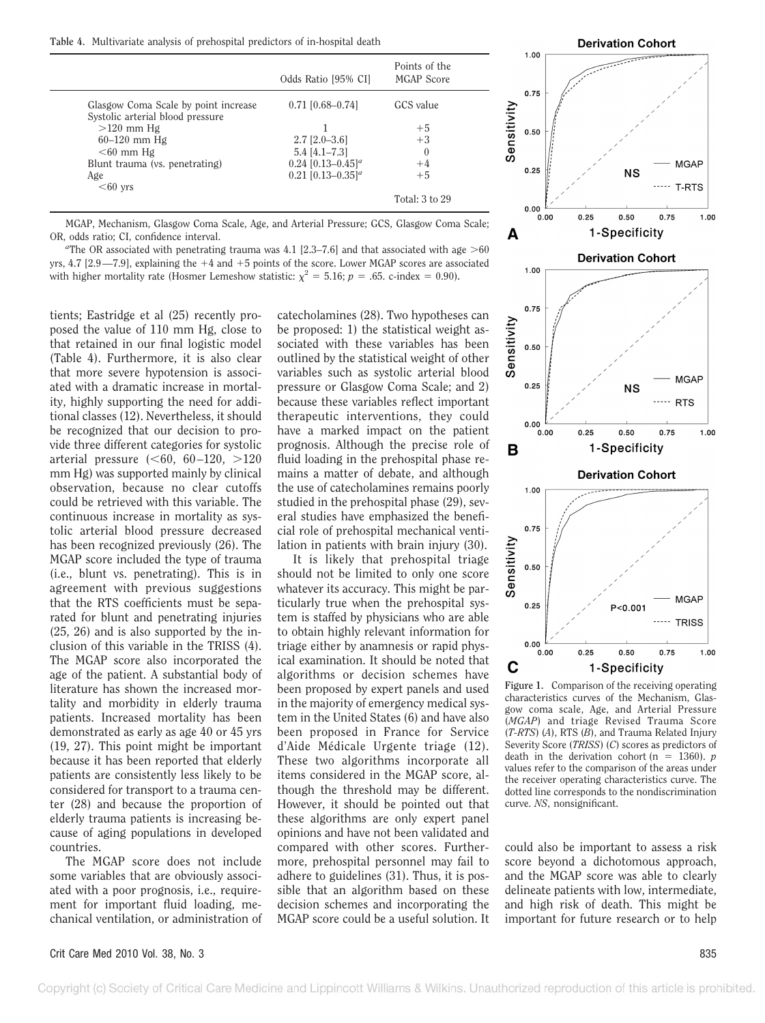**Table 4.** Multivariate analysis of prehospital predictors of in-hospital death

|                                                                          | Odds Ratio [95% CI]             | Points of the<br>MGAP Score |
|--------------------------------------------------------------------------|---------------------------------|-----------------------------|
| Glasgow Coma Scale by point increase<br>Systolic arterial blood pressure | $0.71$ [0.68-0.74]              | GCS value                   |
| $>120$ mm Hg                                                             |                                 | $+5$                        |
| $60 - 120$ mm Hg                                                         | $2.7$ [ $2.0 - 3.6$ ]           | $+3$                        |
| $<$ 60 mm Hg                                                             | $5.4$ [4.1-7.3]                 | $\theta$                    |
| Blunt trauma (vs. penetrating)                                           | $0.24$ [0.13-0.45] <sup>a</sup> | $+4$                        |
| Age                                                                      | $0.21$ [0.13-0.35] <sup>a</sup> | $+5$                        |
| $<$ 60 yrs                                                               |                                 |                             |
|                                                                          |                                 | Total: 3 to 29              |

MGAP, Mechanism, Glasgow Coma Scale, Age, and Arterial Pressure; GCS, Glasgow Coma Scale; OR, odds ratio; CI, confidence interval.

<sup>a</sup>The OR associated with penetrating trauma was 4.1 [2.3–7.6] and that associated with age  $>$ 60 yrs,  $4.7$  [2.9—7.9], explaining the  $+4$  and  $+5$  points of the score. Lower MGAP scores are associated with higher mortality rate (Hosmer Lemeshow statistic:  $\chi^2 = 5.16$ ;  $p = .65$ . c-index = 0.90).

tients; Eastridge et al (25) recently proposed the value of 110 mm Hg, close to that retained in our final logistic model (Table 4). Furthermore, it is also clear that more severe hypotension is associated with a dramatic increase in mortality, highly supporting the need for additional classes (12). Nevertheless, it should be recognized that our decision to provide three different categories for systolic arterial pressure  $(< 60, 60 - 120, > 120$ mm Hg) was supported mainly by clinical observation, because no clear cutoffs could be retrieved with this variable. The continuous increase in mortality as systolic arterial blood pressure decreased has been recognized previously (26). The MGAP score included the type of trauma (i.e., blunt vs. penetrating). This is in agreement with previous suggestions that the RTS coefficients must be separated for blunt and penetrating injuries (25, 26) and is also supported by the inclusion of this variable in the TRISS (4). The MGAP score also incorporated the age of the patient. A substantial body of literature has shown the increased mortality and morbidity in elderly trauma patients. Increased mortality has been demonstrated as early as age 40 or 45 yrs (19, 27). This point might be important because it has been reported that elderly patients are consistently less likely to be considered for transport to a trauma center (28) and because the proportion of elderly trauma patients is increasing because of aging populations in developed countries.

The MGAP score does not include some variables that are obviously associated with a poor prognosis, i.e., requirement for important fluid loading, mechanical ventilation, or administration of

catecholamines (28). Two hypotheses can be proposed: 1) the statistical weight associated with these variables has been outlined by the statistical weight of other variables such as systolic arterial blood pressure or Glasgow Coma Scale; and 2) because these variables reflect important therapeutic interventions, they could have a marked impact on the patient prognosis. Although the precise role of fluid loading in the prehospital phase remains a matter of debate, and although the use of catecholamines remains poorly studied in the prehospital phase (29), several studies have emphasized the beneficial role of prehospital mechanical ventilation in patients with brain injury (30).

It is likely that prehospital triage should not be limited to only one score whatever its accuracy. This might be particularly true when the prehospital system is staffed by physicians who are able to obtain highly relevant information for triage either by anamnesis or rapid physical examination. It should be noted that algorithms or decision schemes have been proposed by expert panels and used in the majority of emergency medical system in the United States (6) and have also been proposed in France for Service d'Aide Médicale Urgente triage (12). These two algorithms incorporate all items considered in the MGAP score, although the threshold may be different. However, it should be pointed out that these algorithms are only expert panel opinions and have not been validated and compared with other scores. Furthermore, prehospital personnel may fail to adhere to guidelines (31). Thus, it is possible that an algorithm based on these decision schemes and incorporating the MGAP score could be a useful solution. It



**Derivation Cohort** 

**Figure 1.** Comparison of the receiving operating characteristics curves of the Mechanism, Glasgow coma scale, Age, and Arterial Pressure (*MGAP*) and triage Revised Trauma Score (*T-RTS*) (*A*), RTS (*B*), and Trauma Related Injury Severity Score (*TRISS*) (*C*) scores as predictors of death in the derivation cohort ( $n = 1360$ ). *p* values refer to the comparison of the areas under the receiver operating characteristics curve. The dotted line corresponds to the nondiscrimination curve. *NS*, nonsignificant.

could also be important to assess a risk score beyond a dichotomous approach, and the MGAP score was able to clearly delineate patients with low, intermediate, and high risk of death. This might be important for future research or to help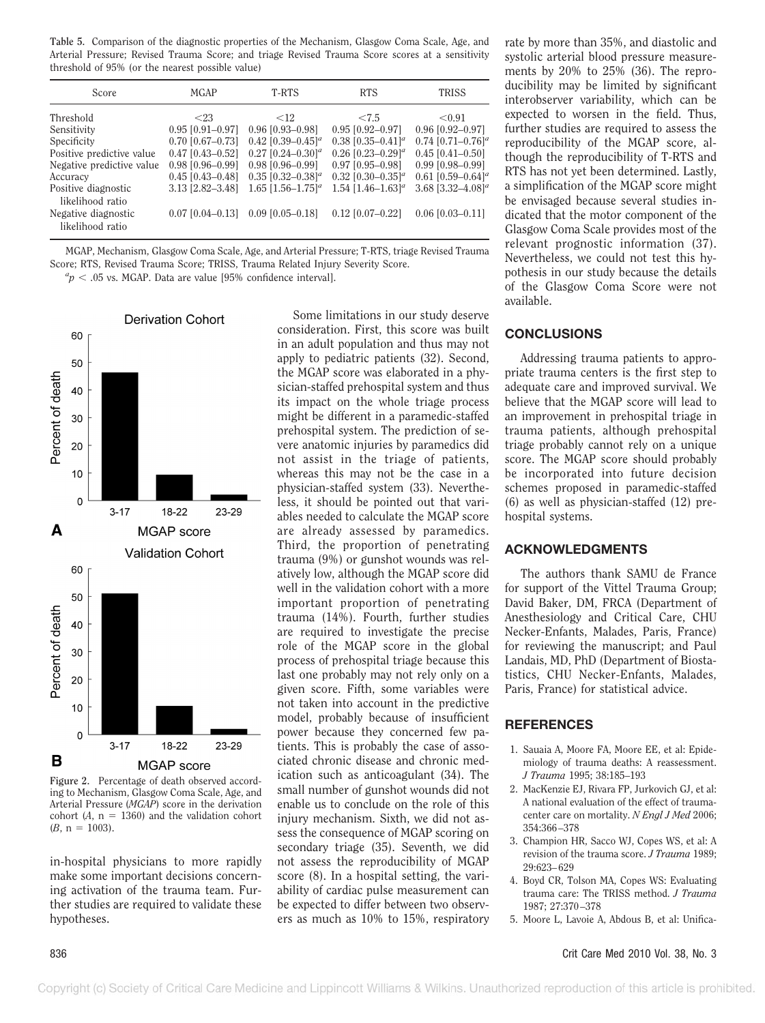**Table 5.** Comparison of the diagnostic properties of the Mechanism, Glasgow Coma Scale, Age, and Arterial Pressure; Revised Trauma Score; and triage Revised Trauma Score scores at a sensitivity threshold of 95% (or the nearest possible value)

| Score                                   | <b>MGAP</b>        | T-RTS                             | <b>RTS</b>                      | <b>TRISS</b>                      |
|-----------------------------------------|--------------------|-----------------------------------|---------------------------------|-----------------------------------|
| Threshold                               | <23                | ${<}12$                           | ${<}7.5$                        | < 0.91                            |
| Sensitivity                             | $0.95$ [0.91-0.97] | $0.96$ [0.93-0.98]                | $0.95$ [0.92-0.97]              | $0.96$ [0.92-0.97]                |
| Specificity                             | $0.70$ [0.67-0.73] | 0.42 $[0.39 - 0.45]$ <sup>a</sup> | $0.38$ [0.35-0.41] <sup>a</sup> | 0.74 $[0.71 - 0.76]$ <sup>a</sup> |
| Positive predictive value               | $0.47$ [0.43-0.52] | $0.27$ [0.24-0.30] <sup>a</sup>   | $0.26$ [0.23-0.29] <sup>a</sup> | $0.45$ [0.41-0.50]                |
| Negative predictive value               | $0.98$ [0.96-0.99] | $0.98$ [0.96-0.99]                | $0.97$ [0.95-0.98]              | $0.99$ [0.98-0.99]                |
| Accuracy                                | $0.45$ [0.43-0.48] | $0.35$ [0.32-0.38] <sup>a</sup>   | $0.32$ [0.30-0.35] <sup>a</sup> | 0.61 $[0.59-0.64]$ <sup>a</sup>   |
| Positive diagnostic<br>likelihood ratio | 3.13 [2.82-3.48]   | $1.65$ [1.56-1.75] <sup>a</sup>   | 1.54 $[1.46-1.63]$ <sup>a</sup> | 3.68 [3.32-4.08] <sup>a</sup>     |
| Negative diagnostic<br>likelihood ratio | $0.07$ [0.04-0.13] | $0.09$ [0.05-0.18]                | $0.12$ [0.07-0.22]              | $0.06$ [0.03-0.11]                |

MGAP, Mechanism, Glasgow Coma Scale, Age, and Arterial Pressure; T-RTS, triage Revised Trauma Score; RTS, Revised Trauma Score; TRISS, Trauma Related Injury Severity Score.

 $a_p < 0.05$  vs. MGAP. Data are value [95% confidence interval].



**Figure 2.** Percentage of death observed according to Mechanism, Glasgow Coma Scale, Age, and Arterial Pressure (*MGAP*) score in the derivation cohort  $(A, n = 1360)$  and the validation cohort  $(B, n = 1003).$ 

in-hospital physicians to more rapidly make some important decisions concerning activation of the trauma team. Further studies are required to validate these hypotheses.

Some limitations in our study deserve consideration. First, this score was built in an adult population and thus may not apply to pediatric patients (32). Second, the MGAP score was elaborated in a physician-staffed prehospital system and thus its impact on the whole triage process might be different in a paramedic-staffed prehospital system. The prediction of severe anatomic injuries by paramedics did not assist in the triage of patients, whereas this may not be the case in a physician-staffed system (33). Nevertheless, it should be pointed out that variables needed to calculate the MGAP score are already assessed by paramedics. Third, the proportion of penetrating trauma (9%) or gunshot wounds was relatively low, although the MGAP score did well in the validation cohort with a more important proportion of penetrating trauma (14%). Fourth, further studies are required to investigate the precise role of the MGAP score in the global process of prehospital triage because this last one probably may not rely only on a given score. Fifth, some variables were not taken into account in the predictive model, probably because of insufficient power because they concerned few patients. This is probably the case of associated chronic disease and chronic medication such as anticoagulant (34). The small number of gunshot wounds did not enable us to conclude on the role of this injury mechanism. Sixth, we did not assess the consequence of MGAP scoring on secondary triage (35). Seventh, we did not assess the reproducibility of MGAP score (8). In a hospital setting, the variability of cardiac pulse measurement can be expected to differ between two observers as much as 10% to 15%, respiratory rate by more than 35%, and diastolic and systolic arterial blood pressure measurements by 20% to 25% (36). The reproducibility may be limited by significant interobserver variability, which can be expected to worsen in the field. Thus, further studies are required to assess the reproducibility of the MGAP score, although the reproducibility of T-RTS and RTS has not yet been determined. Lastly, a simplification of the MGAP score might be envisaged because several studies indicated that the motor component of the Glasgow Coma Scale provides most of the relevant prognostic information (37). Nevertheless, we could not test this hypothesis in our study because the details of the Glasgow Coma Score were not available.

### **CONCLUSIONS**

Addressing trauma patients to appropriate trauma centers is the first step to adequate care and improved survival. We believe that the MGAP score will lead to an improvement in prehospital triage in trauma patients, although prehospital triage probably cannot rely on a unique score. The MGAP score should probably be incorporated into future decision schemes proposed in paramedic-staffed (6) as well as physician-staffed (12) prehospital systems.

### **ACKNOWLEDGMENTS**

The authors thank SAMU de France for support of the Vittel Trauma Group; David Baker, DM, FRCA (Department of Anesthesiology and Critical Care, CHU Necker-Enfants, Malades, Paris, France) for reviewing the manuscript; and Paul Landais, MD, PhD (Department of Biostatistics, CHU Necker-Enfants, Malades, Paris, France) for statistical advice.

#### **REFERENCES**

- 1. Sauaia A, Moore FA, Moore EE, et al: Epidemiology of trauma deaths: A reassessment. *J Trauma* 1995; 38:185–193
- 2. MacKenzie EJ, Rivara FP, Jurkovich GJ, et al: A national evaluation of the effect of traumacenter care on mortality. *N Engl J Med* 2006; 354:366 –378
- 3. Champion HR, Sacco WJ, Copes WS, et al: A revision of the trauma score. *J Trauma* 1989; 29:623– 629
- 4. Boyd CR, Tolson MA, Copes WS: Evaluating trauma care: The TRISS method. *J Trauma* 1987; 27:370 –378
- 5. Moore L, Lavoie A, Abdous B, et al: Unifica-